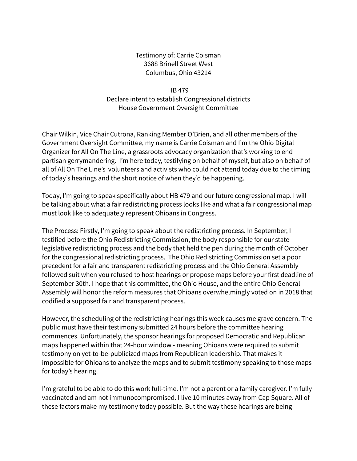Testimony of: Carrie Coisman 3688 Brinell Street West Columbus, Ohio 43214

HB 479 Declare intent to establish Congressional districts House Government Oversight Committee

Chair Wilkin, Vice Chair Cutrona, Ranking Member O'Brien, and all other members of the Government Oversight Committee, my name is Carrie Coisman and I'm the Ohio Digital Organizer for All On The Line, a grassroots advocacy organization that's working to end partisan gerrymandering. I'm here today, testifying on behalf of myself, but also on behalf of all of All On The Line's volunteers and activists who could not attend today due to the timing of today's hearings and the short notice of when they'd be happening.

Today, I'm going to speak specifically about HB 479 and our future congressional map. I will be talking about what a fair redistricting process looks like and what a fair congressional map must look like to adequately represent Ohioans in Congress.

The Process: Firstly, I'm going to speak about the redistricting process. In September, I testified before the Ohio Redistricting Commission, the body responsible for our state legislative redistricting process and the body that held the pen during the month of October for the congressional redistricting process. The Ohio Redistricting Commission set a poor precedent for a fair and transparent redistricting process and the Ohio General Assembly followed suit when you refused to host hearings or propose maps before your first deadline of September 30th. I hope that this committee, the Ohio House, and the entire Ohio General Assembly will honor the reform measures that Ohioans overwhelmingly voted on in 2018 that codified a supposed fair and transparent process.

However, the scheduling of the redistricting hearings this week causes me grave concern. The public must have their testimony submitted 24 hours before the committee hearing commences. Unfortunately, the sponsor hearings for proposed Democratic and Republican maps happened within that 24-hour window - meaning Ohioans were required to submit testimony on yet-to-be-publicized maps from Republican leadership. That makes it impossible for Ohioans to analyze the maps and to submit testimony speaking to those maps for today's hearing.

I'm grateful to be able to do this work full-time. I'm not a parent or a family caregiver. I'm fully vaccinated and am not immunocompromised. I live 10 minutes away from Cap Square. All of these factors make my testimony today possible. But the way these hearings are being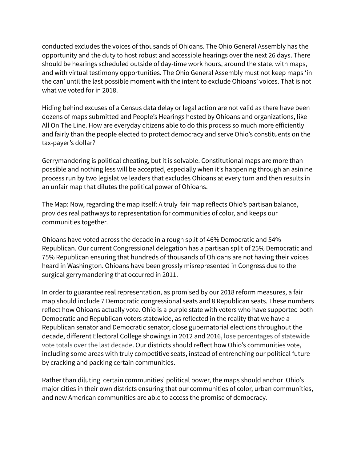conducted excludes the voices of thousands of Ohioans. The Ohio General Assembly has the opportunity and the duty to host robust and accessible hearings over the next 26 days. There should be hearings scheduled outside of day-time work hours, around the state, with maps, and with virtual testimony opportunities. The Ohio General Assembly must not keep maps 'in the can' until the last possible moment with the intent to exclude Ohioans' voices. That is not what we voted for in 2018.

Hiding behind excuses of a Census data delay or legal action are not valid as there have been dozens of maps submitted and People's Hearings hosted by Ohioans and organizations, like All On The Line. How are everyday citizens able to do this process so much more efficiently and fairly than the people elected to protect democracy and serve Ohio's constituents on the tax-payer's dollar?

Gerrymandering is political cheating, but it is solvable. Constitutional maps are more than possible and nothing less will be accepted, especially when it's happening through an asinine process run by two legislative leaders that excludes Ohioans at every turn and then results in an unfair map that dilutes the political power of Ohioans.

The Map: Now, regarding the map itself: A truly fair map reflects Ohio's partisan balance, provides real pathways to representation for communities of color, and keeps our communities together.

Ohioans have voted across the decade in a rough split of 46% Democratic and 54% Republican. Our current Congressional delegation has a partisan split of 25% Democratic and 75% Republican ensuring that hundreds of thousands of Ohioans are not having their voices heard in Washington. Ohioans have been grossly misrepresented in Congress due to the surgical gerrymandering that occurred in 2011.

In order to guarantee real representation, as promised by our 2018 reform measures, a fair map should include 7 Democratic congressional seats and 8 Republican seats. These numbers reflect how Ohioans actually vote. Ohio is a purple state with voters who have supported both Democratic and Republican voters statewide, as reflected in the reality that we have a Republican senator and Democratic senator, close gubernatorial elections throughout the decade, different Electoral College showings in 2012 and 2016, lose percentages of statewide vote totals over the last decade. Our districts should reflect how Ohio's communities vote, including some areas with truly competitive seats, instead of entrenching our political future by cracking and packing certain communities.

Rather than diluting certain communities' political power, the maps should anchor Ohio's major cities in their own districts ensuring that our communities of color, urban communities, and new American communities are able to access the promise of democracy.